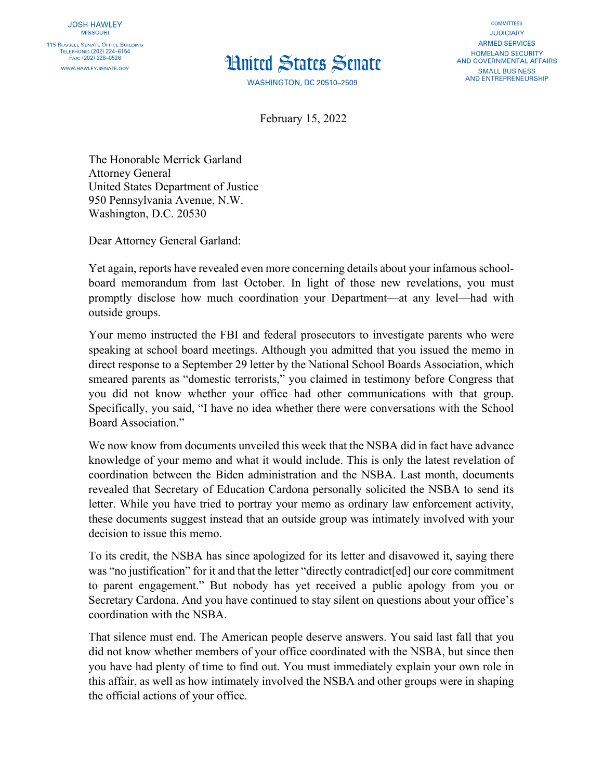## **Hnited States Senate**

**WASHINGTON, DC 20510-2509** 

**COMMITTEES JUDICIARY ARMED SERVICES HOMELAND SECURITY** AND GOVERNMENTAL AFFAIRS **SMALL BUSINESS AND ENTREPRENEURSHIP** 

February 15, 2022

The Honorable Merrick Garland Attorney General United States Department of Justice 950 Pennsylvania Avenue, N.W. Washington, D.C. 20530

Dear Attorney General Garland:

Yet again, reports have revealed even more concerning details about your infamous schoolboard memorandum from last October. In light of those new revelations, you must promptly disclose how much coordination your Department—at any level—had with outside groups.

Your memo instructed the FBI and federal prosecutors to investigate parents who were speaking at school board meetings. Although you admitted that you issued the memo in direct response to a September 29 letter by the National School Boards Association, which smeared parents as "domestic terrorists," you claimed in testimony before Congress that you did not know whether your office had other communications with that group. Specifically, you said, "I have no idea whether there were conversations with the School Board Association."

We now know from documents unveiled this week that the NSBA did in fact have advance knowledge of your memo and what it would include. This is only the latest revelation of coordination between the Biden administration and the NSBA. Last month, documents revealed that Secretary of Education Cardona personally solicited the NSBA to send its letter. While you have tried to portray your memo as ordinary law enforcement activity, these documents suggest instead that an outside group was intimately involved with your decision to issue this memo.

To its credit, the NSBA has since apologized for its letter and disavowed it, saying there was "no justification" for it and that the letter "directly contradict[ed] our core commitment to parent engagement." But nobody has yet received a public apology from you or Secretary Cardona. And you have continued to stay silent on questions about your office's coordination with the NSBA.

That silence must end. The American people deserve answers. You said last fall that you did not know whether members of your office coordinated with the NSBA, but since then you have had plenty of time to find out. You must immediately explain your own role in this affair, as well as how intimately involved the NSBA and other groups were in shaping the official actions of your office.